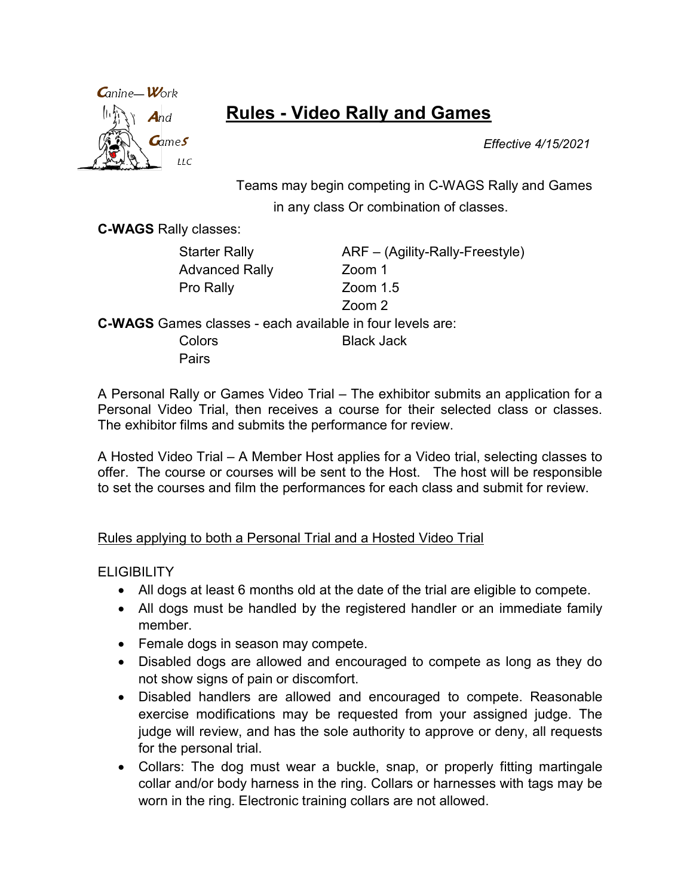

# Rules - Video Rally and Games

Effective 4/15/2021

Teams may begin competing in C-WAGS Rally and Games in any class Or combination of classes.

C-WAGS Rally classes:

Advanced Rally Zoom 1 Pro Rally **Zoom** 1.5

Starter Rally **ARF** – (Agility-Rally-Freestyle) Zoom 2

C-WAGS Games classes - each available in four levels are: Colors Black Jack Pairs

A Personal Rally or Games Video Trial – The exhibitor submits an application for a Personal Video Trial, then receives a course for their selected class or classes. The exhibitor films and submits the performance for review.

A Hosted Video Trial – A Member Host applies for a Video trial, selecting classes to offer. The course or courses will be sent to the Host. The host will be responsible to set the courses and film the performances for each class and submit for review.

#### Rules applying to both a Personal Trial and a Hosted Video Trial

**ELIGIBILITY** 

- All dogs at least 6 months old at the date of the trial are eligible to compete.
- All dogs must be handled by the registered handler or an immediate family member.
- Female dogs in season may compete.
- Disabled dogs are allowed and encouraged to compete as long as they do not show signs of pain or discomfort.
- Disabled handlers are allowed and encouraged to compete. Reasonable exercise modifications may be requested from your assigned judge. The judge will review, and has the sole authority to approve or deny, all requests for the personal trial.
- Collars: The dog must wear a buckle, snap, or properly fitting martingale collar and/or body harness in the ring. Collars or harnesses with tags may be worn in the ring. Electronic training collars are not allowed.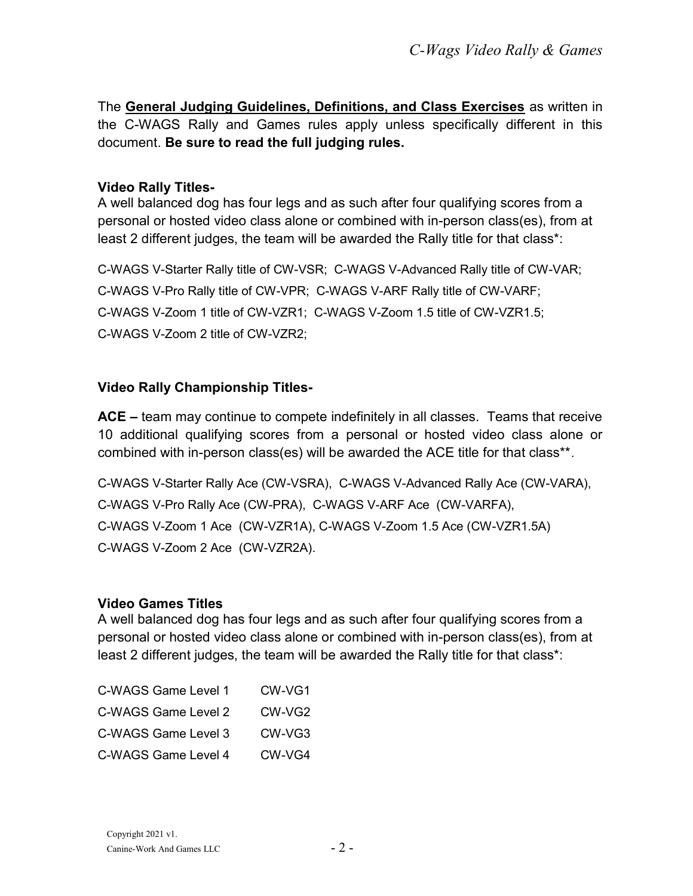The General Judging Guidelines, Definitions, and Class Exercises as written in the C-WAGS Rally and Games rules apply unless specifically different in this document. Be sure to read the full judging rules.

#### Video Rally Titles-

A well balanced dog has four legs and as such after four qualifying scores from a personal or hosted video class alone or combined with in-person class(es), from at least 2 different judges, the team will be awarded the Rally title for that class\*:

C-WAGS V-Starter Rally title of CW-VSR; C-WAGS V-Advanced Rally title of CW-VAR; C-WAGS V-Pro Rally title of CW-VPR; C-WAGS V-ARF Rally title of CW-VARF; C-WAGS V-Zoom 1 title of CW-VZR1; C-WAGS V-Zoom 1.5 title of CW-VZR1.5; C-WAGS V-Zoom 2 title of CW-VZR2;

## Video Rally Championship Titles-

ACE – team may continue to compete indefinitely in all classes. Teams that receive 10 additional qualifying scores from a personal or hosted video class alone or combined with in-person class(es) will be awarded the ACE title for that class\*\*.

C-WAGS V-Starter Rally Ace (CW-VSRA), C-WAGS V-Advanced Rally Ace (CW-VARA), C-WAGS V-Pro Rally Ace (CW-PRA), C-WAGS V-ARF Ace (CW-VARFA), C-WAGS V-Zoom 1 Ace (CW-VZR1A), C-WAGS V-Zoom 1.5 Ace (CW-VZR1.5A) C-WAGS V-Zoom 2 Ace (CW-VZR2A).

#### Video Games Titles

A well balanced dog has four legs and as such after four qualifying scores from a personal or hosted video class alone or combined with in-person class(es), from at least 2 different judges, the team will be awarded the Rally title for that class\*:

| C-WAGS Game Level 1 | CW-VG1 |
|---------------------|--------|
| C-WAGS Game Level 2 | CW-VG2 |
| C-WAGS Game Level 3 | CW-VG3 |
| C-WAGS Game Level 4 | CW-VG4 |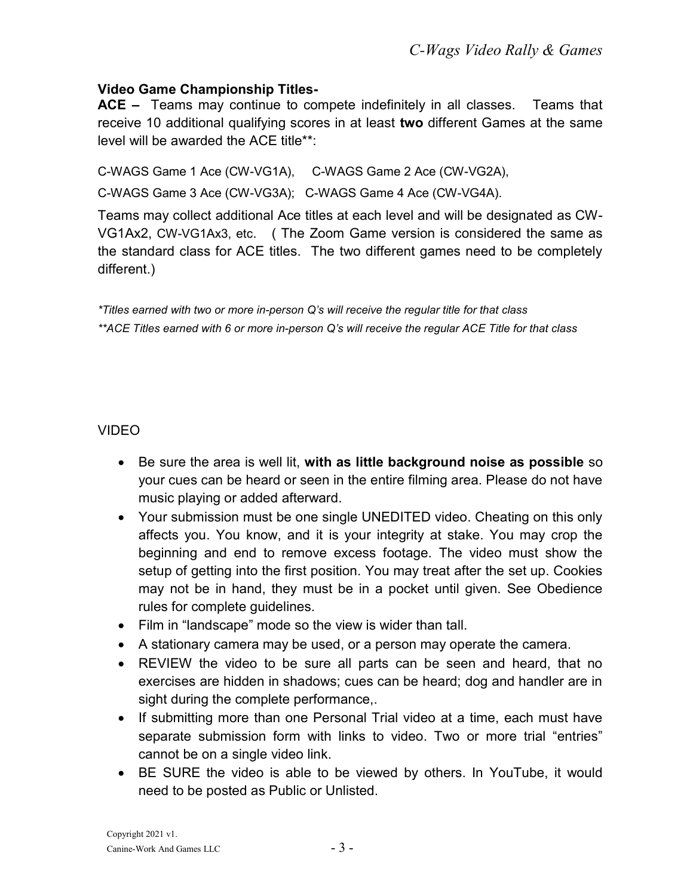#### Video Game Championship Titles-

ACE – Teams may continue to compete indefinitely in all classes. Teams that receive 10 additional qualifying scores in at least two different Games at the same level will be awarded the ACE title\*\*:

C-WAGS Game 1 Ace (CW-VG1A), C-WAGS Game 2 Ace (CW-VG2A),

C-WAGS Game 3 Ace (CW-VG3A); C-WAGS Game 4 Ace (CW-VG4A).

Teams may collect additional Ace titles at each level and will be designated as CW-VG1Ax2, CW-VG1Ax3, etc. ( The Zoom Game version is considered the same as the standard class for ACE titles. The two different games need to be completely different.)

\*Titles earned with two or more in-person Q's will receive the regular title for that class \*\*ACE Titles earned with 6 or more in-person Q's will receive the regular ACE Title for that class

#### VIDEO

- Be sure the area is well lit, with as little background noise as possible so your cues can be heard or seen in the entire filming area. Please do not have music playing or added afterward.
- Your submission must be one single UNEDITED video. Cheating on this only affects you. You know, and it is your integrity at stake. You may crop the beginning and end to remove excess footage. The video must show the setup of getting into the first position. You may treat after the set up. Cookies may not be in hand, they must be in a pocket until given. See Obedience rules for complete guidelines.
- Film in "landscape" mode so the view is wider than tall.
- A stationary camera may be used, or a person may operate the camera.
- REVIEW the video to be sure all parts can be seen and heard, that no exercises are hidden in shadows; cues can be heard; dog and handler are in sight during the complete performance,.
- If submitting more than one Personal Trial video at a time, each must have separate submission form with links to video. Two or more trial "entries" cannot be on a single video link.
- BE SURE the video is able to be viewed by others. In YouTube, it would need to be posted as Public or Unlisted.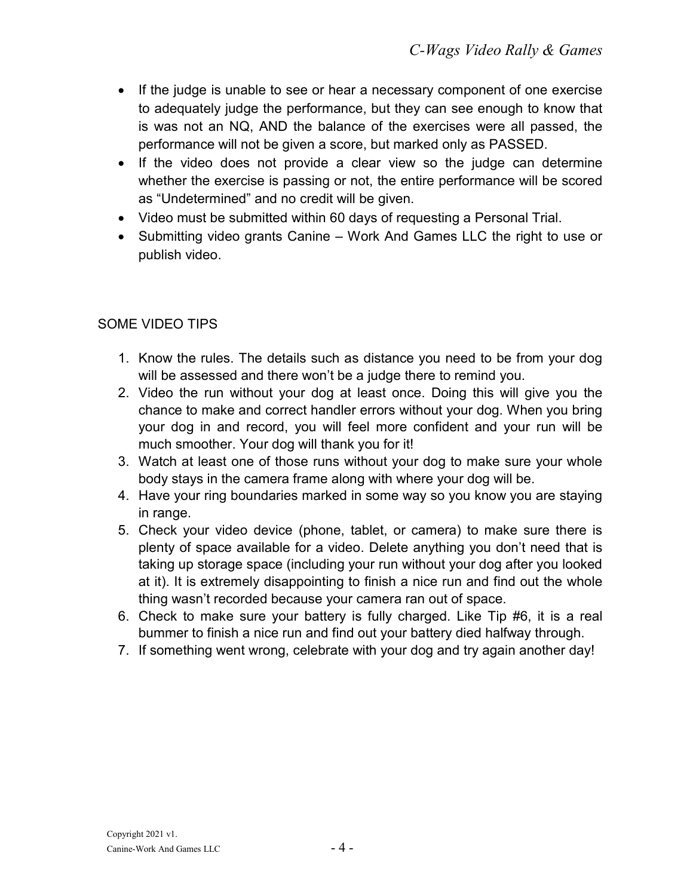- If the judge is unable to see or hear a necessary component of one exercise to adequately judge the performance, but they can see enough to know that is was not an NQ, AND the balance of the exercises were all passed, the performance will not be given a score, but marked only as PASSED.
- If the video does not provide a clear view so the judge can determine whether the exercise is passing or not, the entire performance will be scored as "Undetermined" and no credit will be given.
- Video must be submitted within 60 days of requesting a Personal Trial.
- Submitting video grants Canine Work And Games LLC the right to use or publish video.

## SOME VIDEO TIPS

- 1. Know the rules. The details such as distance you need to be from your dog will be assessed and there won't be a judge there to remind you.
- 2. Video the run without your dog at least once. Doing this will give you the chance to make and correct handler errors without your dog. When you bring your dog in and record, you will feel more confident and your run will be much smoother. Your dog will thank you for it!
- 3. Watch at least one of those runs without your dog to make sure your whole body stays in the camera frame along with where your dog will be.
- 4. Have your ring boundaries marked in some way so you know you are staying in range.
- 5. Check your video device (phone, tablet, or camera) to make sure there is plenty of space available for a video. Delete anything you don't need that is taking up storage space (including your run without your dog after you looked at it). It is extremely disappointing to finish a nice run and find out the whole thing wasn't recorded because your camera ran out of space.
- 6. Check to make sure your battery is fully charged. Like Tip #6, it is a real bummer to finish a nice run and find out your battery died halfway through.
- 7. If something went wrong, celebrate with your dog and try again another day!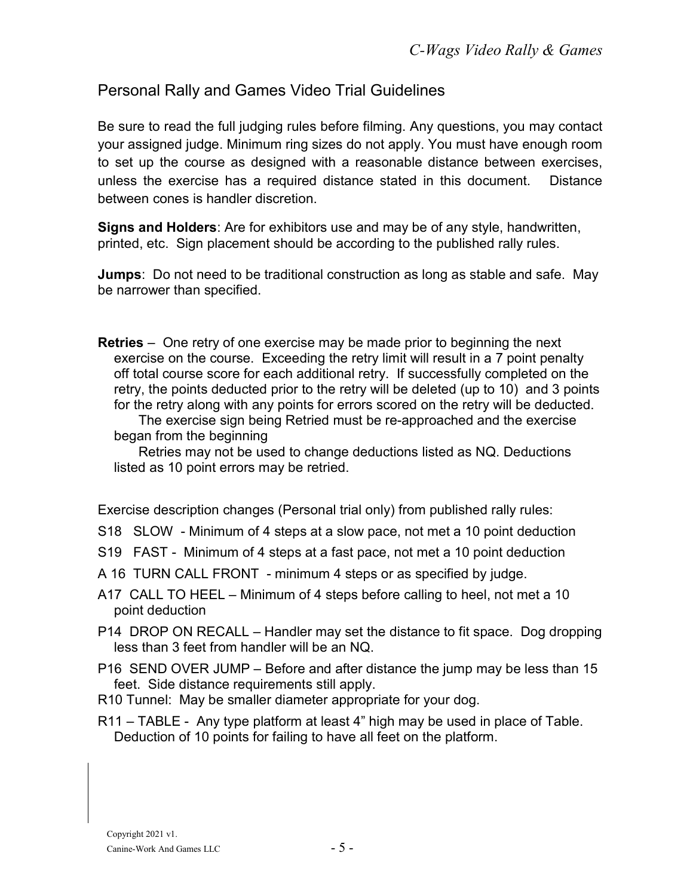## Personal Rally and Games Video Trial Guidelines

Be sure to read the full judging rules before filming. Any questions, you may contact your assigned judge. Minimum ring sizes do not apply. You must have enough room to set up the course as designed with a reasonable distance between exercises, unless the exercise has a required distance stated in this document. Distance between cones is handler discretion.

Signs and Holders: Are for exhibitors use and may be of any style, handwritten, printed, etc. Sign placement should be according to the published rally rules.

Jumps: Do not need to be traditional construction as long as stable and safe. May be narrower than specified.

Retries – One retry of one exercise may be made prior to beginning the next exercise on the course. Exceeding the retry limit will result in a 7 point penalty off total course score for each additional retry. If successfully completed on the retry, the points deducted prior to the retry will be deleted (up to 10) and 3 points for the retry along with any points for errors scored on the retry will be deducted.

 The exercise sign being Retried must be re-approached and the exercise began from the beginning

 Retries may not be used to change deductions listed as NQ. Deductions listed as 10 point errors may be retried.

Exercise description changes (Personal trial only) from published rally rules:

- S18 SLOW Minimum of 4 steps at a slow pace, not met a 10 point deduction
- S19 FAST Minimum of 4 steps at a fast pace, not met a 10 point deduction
- A 16 TURN CALL FRONT minimum 4 steps or as specified by judge.
- A17 CALL TO HEEL Minimum of 4 steps before calling to heel, not met a 10 point deduction
- P14 DROP ON RECALL Handler may set the distance to fit space. Dog dropping less than 3 feet from handler will be an NQ.
- P16 SEND OVER JUMP Before and after distance the jump may be less than 15 feet. Side distance requirements still apply.
- R10 Tunnel: May be smaller diameter appropriate for your dog.
- R11 TABLE Any type platform at least 4" high may be used in place of Table. Deduction of 10 points for failing to have all feet on the platform.